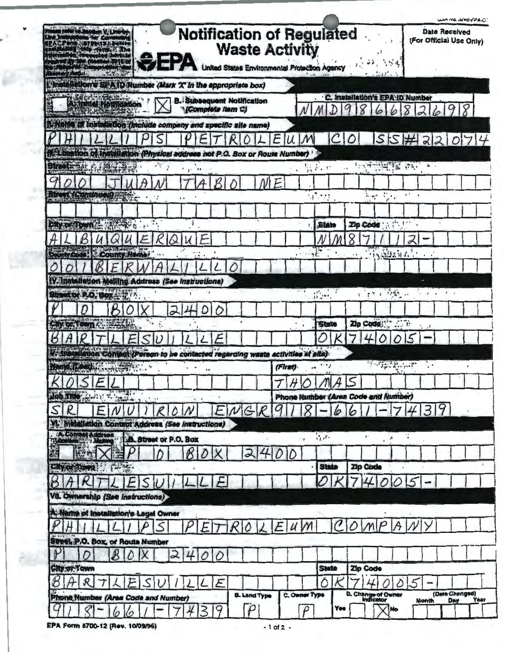| <b>Notification of Regulated</b><br><b>Waste Activity</b><br>United States Environmental Protection Agency |         |                                                                                                                                                                                                                                                                                                                                                                                                                                  |                         |                      |                                                                                                                                                                                                                                                                                                                                                                                              | 5.54<br>17                        |                          |                                                                                                | USA NO UZEO-FPA.C.<br><b>Date Received</b><br>(For Official Use Only) |
|------------------------------------------------------------------------------------------------------------|---------|----------------------------------------------------------------------------------------------------------------------------------------------------------------------------------------------------------------------------------------------------------------------------------------------------------------------------------------------------------------------------------------------------------------------------------|-------------------------|----------------------|----------------------------------------------------------------------------------------------------------------------------------------------------------------------------------------------------------------------------------------------------------------------------------------------------------------------------------------------------------------------------------------------|-----------------------------------|--------------------------|------------------------------------------------------------------------------------------------|-----------------------------------------------------------------------|
| Himselletion's SPA D Number (Mark X'In the appropriate box)                                                |         |                                                                                                                                                                                                                                                                                                                                                                                                                                  |                         |                      |                                                                                                                                                                                                                                                                                                                                                                                              |                                   |                          |                                                                                                |                                                                       |
| <b>Control Control</b><br><b>B. Subsequent Notification</b><br>"(Complete item C)                          |         |                                                                                                                                                                                                                                                                                                                                                                                                                                  |                         | 9                    | . C. Installation's EPA ID Number<br>8                                                                                                                                                                                                                                                                                                                                                       | 6                                 | 8                        |                                                                                                |                                                                       |
| 1-Name of installation (include company and specific site name)                                            |         |                                                                                                                                                                                                                                                                                                                                                                                                                                  |                         |                      |                                                                                                                                                                                                                                                                                                                                                                                              |                                   |                          |                                                                                                |                                                                       |
| E                                                                                                          |         |                                                                                                                                                                                                                                                                                                                                                                                                                                  | C                       | O                    |                                                                                                                                                                                                                                                                                                                                                                                              |                                   |                          |                                                                                                | 5574220714                                                            |
| <b>MALDention of Installation (Physical address not P.O. Box or Route Number)</b>                          |         |                                                                                                                                                                                                                                                                                                                                                                                                                                  |                         |                      |                                                                                                                                                                                                                                                                                                                                                                                              |                                   |                          |                                                                                                |                                                                       |
| Btreet= bit<br>在模式设备<br>٠H<br>$1 - 10$                                                                     |         | er.<br>$\frac{1}{k^2}$ , $\gamma^2$<br>Fi                                                                                                                                                                                                                                                                                                                                                                                        |                         | $\ddot{\phantom{1}}$ | $\frac{1}{2} \left( \frac{1}{2} \frac{1}{2} \frac{1}{2} \frac{1}{2} \frac{1}{2} \frac{1}{2} \frac{1}{2} \frac{1}{2} \frac{1}{2} \frac{1}{2} \frac{1}{2} \frac{1}{2} \frac{1}{2} \frac{1}{2} \frac{1}{2} \frac{1}{2} \frac{1}{2} \frac{1}{2} \frac{1}{2} \frac{1}{2} \frac{1}{2} \frac{1}{2} \frac{1}{2} \frac{1}{2} \frac{1}{2} \frac{1}{2} \frac{1}{2} \frac{1}{2} \frac{1}{2} \frac{1}{2}$ |                                   |                          | $h$ .                                                                                          |                                                                       |
|                                                                                                            |         |                                                                                                                                                                                                                                                                                                                                                                                                                                  |                         |                      |                                                                                                                                                                                                                                                                                                                                                                                              |                                   |                          |                                                                                                |                                                                       |
| Since (Signal Construction<br><b>DFEE</b><br>$\mathbf{t}$<br>$\bullet$                                     |         | 137.733                                                                                                                                                                                                                                                                                                                                                                                                                          |                         |                      | $\frac{1}{2} \frac{1}{\log 2} \left( \frac{1}{\log 2} \right)^2 \frac{1}{\log 2} \, .$                                                                                                                                                                                                                                                                                                       | $\epsilon$                        | $x^1 - x$                |                                                                                                |                                                                       |
|                                                                                                            |         |                                                                                                                                                                                                                                                                                                                                                                                                                                  |                         |                      |                                                                                                                                                                                                                                                                                                                                                                                              |                                   |                          |                                                                                                |                                                                       |
| <b>Chy or Town Company</b><br>Ť                                                                            |         |                                                                                                                                                                                                                                                                                                                                                                                                                                  | <b>State</b>            |                      | Zip Code : A Pattern                                                                                                                                                                                                                                                                                                                                                                         |                                   |                          |                                                                                                |                                                                       |
| $\alpha$<br>Δ<br>B<br>и                                                                                    |         |                                                                                                                                                                                                                                                                                                                                                                                                                                  | $\bullet$               |                      | <b>Compa</b>                                                                                                                                                                                                                                                                                                                                                                                 | $: \cdot$                         | $\overline{\mathcal{L}}$ |                                                                                                |                                                                       |
| Septimy Code: County Name<br>.111<br>15 <sup>2</sup>                                                       |         | $-16.$                                                                                                                                                                                                                                                                                                                                                                                                                           |                         | $\cdot$ $\cdot$      |                                                                                                                                                                                                                                                                                                                                                                                              | <b>SALES ALL</b>                  |                          |                                                                                                |                                                                       |
| W. Installation Malling Address (See instructions)                                                         |         |                                                                                                                                                                                                                                                                                                                                                                                                                                  |                         |                      |                                                                                                                                                                                                                                                                                                                                                                                              |                                   |                          |                                                                                                |                                                                       |
| <b>Sime of P.O. Box 1977</b>                                                                               |         | $\begin{array}{ccc}\n\cdot & & \bullet & \\ \end{array}$<br>$\label{eq:4} \frac{1}{2}\sum_{i=1}^{M} \frac{1}{2} \sum_{j=1}^{M} \frac{1}{2} \sum_{j=1}^{M} \frac{1}{2} \sum_{j=1}^{M} \frac{1}{2} \sum_{j=1}^{M} \frac{1}{2} \sum_{j=1}^{M} \frac{1}{2} \sum_{j=1}^{M} \frac{1}{2} \sum_{j=1}^{M} \frac{1}{2} \sum_{j=1}^{M} \frac{1}{2} \sum_{j=1}^{M} \frac{1}{2} \sum_{j=1}^{M} \frac{1}{2} \sum_{j=1}^{M} \frac{1}{2} \sum_{$ |                         |                      | (今日) 後期                                                                                                                                                                                                                                                                                                                                                                                      |                                   |                          | $\mathcal{L}_{\mathcal{A}}(\mathcal{A}) = \mathcal{A}(\mathcal{A}) = \mathcal{A}(\mathcal{A})$ |                                                                       |
| D<br>214                                                                                                   |         |                                                                                                                                                                                                                                                                                                                                                                                                                                  |                         |                      |                                                                                                                                                                                                                                                                                                                                                                                              |                                   |                          |                                                                                                |                                                                       |
| O<br>Chy on Town 2 . Ele Lit<br>۰.                                                                         |         |                                                                                                                                                                                                                                                                                                                                                                                                                                  | <b>State</b>            |                      | Zip Code : " "                                                                                                                                                                                                                                                                                                                                                                               |                                   |                          |                                                                                                |                                                                       |
|                                                                                                            |         |                                                                                                                                                                                                                                                                                                                                                                                                                                  |                         |                      |                                                                                                                                                                                                                                                                                                                                                                                              |                                   |                          |                                                                                                |                                                                       |
| Kt Installation Control (Person to be contacted regarding waste activities at alte)                        |         |                                                                                                                                                                                                                                                                                                                                                                                                                                  |                         |                      |                                                                                                                                                                                                                                                                                                                                                                                              |                                   |                          |                                                                                                |                                                                       |
| ٠<br>$64^{\circ}$                                                                                          | (First) | $+8$                                                                                                                                                                                                                                                                                                                                                                                                                             |                         |                      |                                                                                                                                                                                                                                                                                                                                                                                              | <b>TATE PAST</b><br>$\mathcal{L}$ |                          | $\mathbb{R}^{n \times n}$                                                                      |                                                                       |
| $\mathbf{v}$                                                                                               |         | $T$ $H$ $O$ $M$                                                                                                                                                                                                                                                                                                                                                                                                                  | 4                       | $\leq$               |                                                                                                                                                                                                                                                                                                                                                                                              |                                   |                          |                                                                                                |                                                                       |
| $U\cup V$<br>166 me, bit a start<br>$1 - 11$                                                               |         | Phone Number (Area Code and Number)                                                                                                                                                                                                                                                                                                                                                                                              |                         |                      |                                                                                                                                                                                                                                                                                                                                                                                              |                                   |                          |                                                                                                |                                                                       |
| $\mathcal{S}$<br>R<br>'IG<br>₽<br>E                                                                        |         | Q                                                                                                                                                                                                                                                                                                                                                                                                                                | 6                       |                      |                                                                                                                                                                                                                                                                                                                                                                                              |                                   |                          | 3                                                                                              |                                                                       |
| VI. Incidilation Contact Address (See instructions)                                                        |         |                                                                                                                                                                                                                                                                                                                                                                                                                                  |                         |                      |                                                                                                                                                                                                                                                                                                                                                                                              |                                   |                          |                                                                                                |                                                                       |
| EN Control Address<br><b>B.</b> Street or P.O. Box                                                         |         | $\cdot$ -p                                                                                                                                                                                                                                                                                                                                                                                                                       | $\overline{\gamma_{L}}$ |                      | $\mathbf{t}^{(t)}$                                                                                                                                                                                                                                                                                                                                                                           | ÷                                 | Y.                       |                                                                                                |                                                                       |
| $\overline{\omega}$                                                                                        |         |                                                                                                                                                                                                                                                                                                                                                                                                                                  |                         |                      |                                                                                                                                                                                                                                                                                                                                                                                              |                                   |                          |                                                                                                |                                                                       |
| City or Town!<br><b>PH 35</b><br>$\cdot$                                                                   |         |                                                                                                                                                                                                                                                                                                                                                                                                                                  | <b>State</b>            |                      | Zip Code                                                                                                                                                                                                                                                                                                                                                                                     |                                   |                          |                                                                                                |                                                                       |
|                                                                                                            |         |                                                                                                                                                                                                                                                                                                                                                                                                                                  |                         |                      |                                                                                                                                                                                                                                                                                                                                                                                              |                                   |                          |                                                                                                |                                                                       |
| VIL Ownership (See instructions)                                                                           |         |                                                                                                                                                                                                                                                                                                                                                                                                                                  |                         |                      |                                                                                                                                                                                                                                                                                                                                                                                              |                                   |                          |                                                                                                |                                                                       |
| A Name of Installation's Legal Owner                                                                       |         |                                                                                                                                                                                                                                                                                                                                                                                                                                  |                         |                      |                                                                                                                                                                                                                                                                                                                                                                                              |                                   |                          |                                                                                                |                                                                       |
|                                                                                                            | F       |                                                                                                                                                                                                                                                                                                                                                                                                                                  |                         |                      |                                                                                                                                                                                                                                                                                                                                                                                              |                                   |                          |                                                                                                |                                                                       |
| $100 - 001$<br>Street P.O. Box, or Route Number                                                            |         |                                                                                                                                                                                                                                                                                                                                                                                                                                  |                         |                      |                                                                                                                                                                                                                                                                                                                                                                                              |                                   |                          |                                                                                                |                                                                       |
| 2<br>0                                                                                                     |         |                                                                                                                                                                                                                                                                                                                                                                                                                                  |                         |                      |                                                                                                                                                                                                                                                                                                                                                                                              |                                   |                          |                                                                                                |                                                                       |
| <b>City or Town</b>                                                                                        |         |                                                                                                                                                                                                                                                                                                                                                                                                                                  | <b>State</b>            |                      | Zip Code                                                                                                                                                                                                                                                                                                                                                                                     |                                   |                          |                                                                                                |                                                                       |
| $\mathcal B$<br>$\mathcal R$<br>E                                                                          |         |                                                                                                                                                                                                                                                                                                                                                                                                                                  | Ó                       |                      |                                                                                                                                                                                                                                                                                                                                                                                              |                                   |                          |                                                                                                |                                                                       |
| 麻.<br><b>B. Land Type</b><br>Phone Number (Area Code and Number)                                           |         | C. Owner Type                                                                                                                                                                                                                                                                                                                                                                                                                    |                         |                      | D. Change of Owner                                                                                                                                                                                                                                                                                                                                                                           |                                   | Month                    |                                                                                                | (Date Changed)<br>Year<br>Day                                         |
|                                                                                                            |         | $\overline{\rho}$                                                                                                                                                                                                                                                                                                                                                                                                                | Yee                     |                      |                                                                                                                                                                                                                                                                                                                                                                                              | No                                |                          |                                                                                                |                                                                       |

 $\alpha$